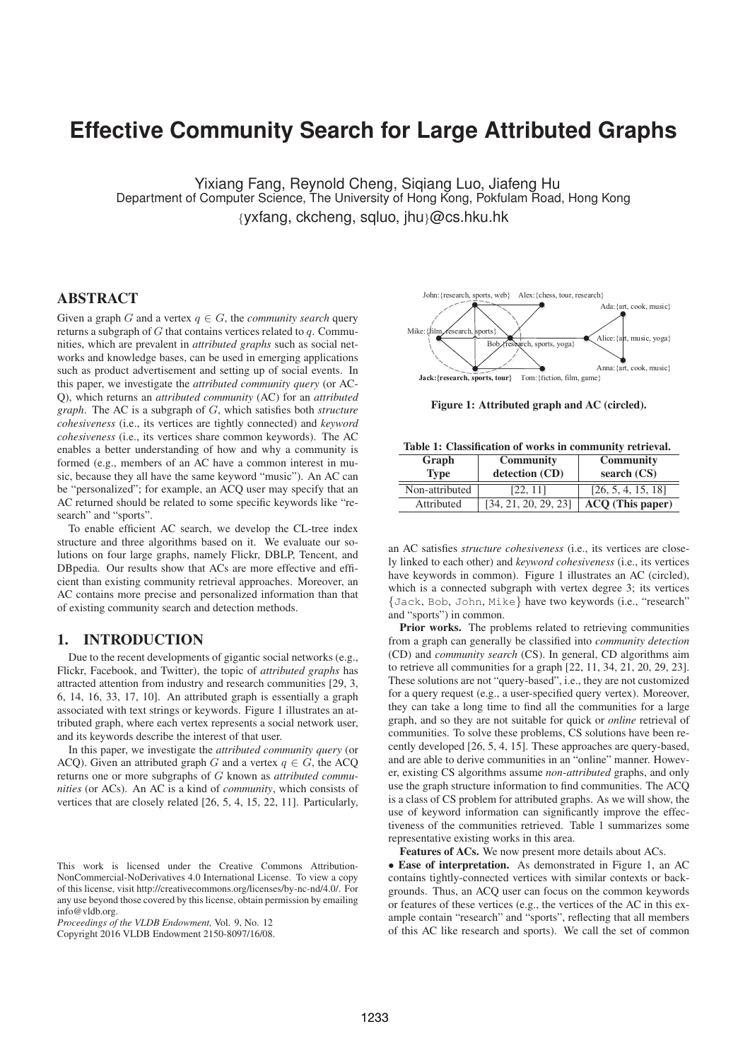# **Effective Community Search for Large Attributed Graphs**

Yixiang Fang, Reynold Cheng, Siqiang Luo, Jiafeng Hu Department of Computer Science, The University of Hong Kong, Pokfulam Road, Hong Kong {yxfang, ckcheng, sqluo, jhu}@cs.hku.hk

# ABSTRACT

Given a graph G and a vertex  $q \in G$ , the *community search* query returns a subgraph of  $G$  that contains vertices related to  $q$ . Communities, which are prevalent in *attributed graphs* such as social networks and knowledge bases, can be used in emerging applications such as product advertisement and setting up of social events. In this paper, we investigate the *attributed community query* (or AC-Q), which returns an *attributed community* (AC) for an *attributed graph*. The AC is a subgraph of G, which satisfies both *structure cohesiveness* (i.e., its vertices are tightly connected) and *keyword cohesiveness* (i.e., its vertices share common keywords). The AC enables a better understanding of how and why a community is formed (e.g., members of an AC have a common interest in music, because they all have the same keyword "music"). An AC can be "personalized"; for example, an ACQ user may specify that an AC returned should be related to some specific keywords like "research" and "sports".

To enable efficient AC search, we develop the CL-tree index structure and three algorithms based on it. We evaluate our solutions on four large graphs, namely Flickr, DBLP, Tencent, and DBpedia. Our results show that ACs are more effective and efficient than existing community retrieval approaches. Moreover, an AC contains more precise and personalized information than that of existing community search and detection methods.

# 1. INTRODUCTION

Due to the recent developments of gigantic social networks (e.g., Flickr, Facebook, and Twitter), the topic of *attributed graphs* has attracted attention from industry and research communities [29, 3, 6, 14, 16, 33, 17, 10]. An attributed graph is essentially a graph associated with text strings or keywords. Figure 1 illustrates an attributed graph, where each vertex represents a social network user, and its keywords describe the interest of that user.

In this paper, we investigate the *attributed community query* (or ACQ). Given an attributed graph G and a vertex  $q \in G$ , the ACQ returns one or more subgraphs of G known as *attributed communities* (or ACs). An AC is a kind of *community*, which consists of vertices that are closely related [26, 5, 4, 15, 22, 11]. Particularly,



Figure 1: Attributed graph and AC (circled).

Table 1: Classification of works in community retrieval.

| Graph<br><b>Type</b> | <b>Community</b><br>detection (CD) | Community<br>search (CS) |  |
|----------------------|------------------------------------|--------------------------|--|
| Non-attributed       | [22, 11]                           | [26, 5, 4, 15, 18]       |  |
| Attributed           | [34, 21, 20, 29, 23]               | ACQ (This paper)         |  |

an AC satisfies *structure cohesiveness* (i.e., its vertices are closely linked to each other) and *keyword cohesiveness* (i.e., its vertices have keywords in common). Figure 1 illustrates an AC (circled), which is a connected subgraph with vertex degree 3; its vertices {Jack, Bob, John, Mike} have two keywords (i.e., "research" and "sports") in common.

Prior works. The problems related to retrieving communities from a graph can generally be classified into *community detection* (CD) and *community search* (CS). In general, CD algorithms aim to retrieve all communities for a graph [22, 11, 34, 21, 20, 29, 23]. These solutions are not "query-based", i.e., they are not customized for a query request (e.g., a user-specified query vertex). Moreover, they can take a long time to find all the communities for a large graph, and so they are not suitable for quick or *online* retrieval of communities. To solve these problems, CS solutions have been recently developed [26, 5, 4, 15]. These approaches are query-based, and are able to derive communities in an "online" manner. However, existing CS algorithms assume *non-attributed* graphs, and only use the graph structure information to find communities. The ACQ is a class of CS problem for attributed graphs. As we will show, the use of keyword information can significantly improve the effectiveness of the communities retrieved. Table 1 summarizes some representative existing works in this area.

Features of ACs. We now present more details about ACs.

• Ease of interpretation. As demonstrated in Figure 1, an AC contains tightly-connected vertices with similar contexts or backgrounds. Thus, an ACQ user can focus on the common keywords or features of these vertices (e.g., the vertices of the AC in this example contain "research" and "sports", reflecting that all members of this AC like research and sports). We call the set of common

This work is licensed under the Creative Commons Attribution-NonCommercial-NoDerivatives 4.0 International License. To view a copy of this license, visit http://creativecommons.org/licenses/by-nc-nd/4.0/. For any use beyond those covered by this license, obtain permission by emailing info@vldb.org.

*Proceedings of the VLDB Endowment,* Vol. 9, No. 12

Copyright 2016 VLDB Endowment 2150-8097/16/08.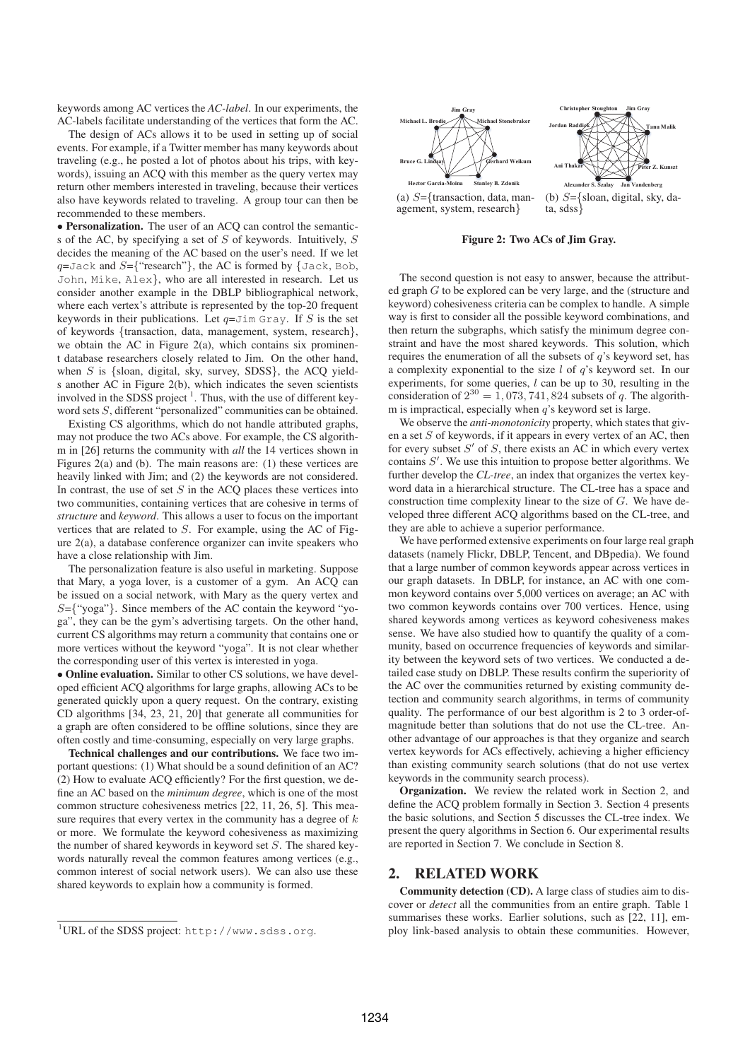keywords among AC vertices the *AC-label*. In our experiments, the AC-labels facilitate understanding of the vertices that form the AC.

The design of ACs allows it to be used in setting up of social events. For example, if a Twitter member has many keywords about traveling (e.g., he posted a lot of photos about his trips, with keywords), issuing an ACQ with this member as the query vertex may return other members interested in traveling, because their vertices also have keywords related to traveling. A group tour can then be recommended to these members.

• Personalization. The user of an ACQ can control the semantics of the AC, by specifying a set of S of keywords. Intuitively, S decides the meaning of the AC based on the user's need. If we let  $q$ =Jack and  $S$ ={"research"}, the AC is formed by {Jack, Bob, John, Mike, Alex}, who are all interested in research. Let us consider another example in the DBLP bibliographical network, where each vertex's attribute is represented by the top-20 frequent keywords in their publications. Let  $q = J \text{im } G$  and  $S$  is the set of keywords {transaction, data, management, system, research}, we obtain the AC in Figure 2(a), which contains six prominent database researchers closely related to Jim. On the other hand, when  $S$  is {sloan, digital, sky, survey, SDSS}, the ACO yields another AC in Figure 2(b), which indicates the seven scientists involved in the SDSS project  $<sup>1</sup>$ . Thus, with the use of different key-</sup> word sets S, different "personalized" communities can be obtained.

Existing CS algorithms, which do not handle attributed graphs, may not produce the two ACs above. For example, the CS algorithm in [26] returns the community with *all* the 14 vertices shown in Figures 2(a) and (b). The main reasons are: (1) these vertices are heavily linked with Jim; and (2) the keywords are not considered. In contrast, the use of set  $S$  in the ACQ places these vertices into two communities, containing vertices that are cohesive in terms of *structure* and *keyword*. This allows a user to focus on the important vertices that are related to  $S$ . For example, using the AC of Figure 2(a), a database conference organizer can invite speakers who have a close relationship with Jim.

The personalization feature is also useful in marketing. Suppose that Mary, a yoga lover, is a customer of a gym. An ACQ can be issued on a social network, with Mary as the query vertex and  $S = {``yoga"}$ . Since members of the AC contain the keyword "yoga", they can be the gym's advertising targets. On the other hand, current CS algorithms may return a community that contains one or more vertices without the keyword "yoga". It is not clear whether the corresponding user of this vertex is interested in yoga.

• Online evaluation. Similar to other CS solutions, we have developed efficient ACQ algorithms for large graphs, allowing ACs to be generated quickly upon a query request. On the contrary, existing CD algorithms [34, 23, 21, 20] that generate all communities for a graph are often considered to be offline solutions, since they are often costly and time-consuming, especially on very large graphs.

Technical challenges and our contributions. We face two important questions: (1) What should be a sound definition of an AC? (2) How to evaluate ACQ efficiently? For the first question, we define an AC based on the *minimum degree*, which is one of the most common structure cohesiveness metrics [22, 11, 26, 5]. This measure requires that every vertex in the community has a degree of  $k$ or more. We formulate the keyword cohesiveness as maximizing the number of shared keywords in keyword set S. The shared keywords naturally reveal the common features among vertices (e.g., common interest of social network users). We can also use these shared keywords to explain how a community is formed.



Figure 2: Two ACs of Jim Gray.

The second question is not easy to answer, because the attributed graph G to be explored can be very large, and the (structure and keyword) cohesiveness criteria can be complex to handle. A simple way is first to consider all the possible keyword combinations, and then return the subgraphs, which satisfy the minimum degree constraint and have the most shared keywords. This solution, which requires the enumeration of all the subsets of  $q$ 's keyword set, has a complexity exponential to the size  $l$  of  $q$ 's keyword set. In our experiments, for some queries,  $l$  can be up to 30, resulting in the consideration of  $2^{30} = 1,073,741,824$  subsets of q. The algorithm is impractical, especially when  $q$ 's keyword set is large.

We observe the *anti-monotonicity* property, which states that given a set  $S$  of keywords, if it appears in every vertex of an AC, then for every subset  $S'$  of  $S$ , there exists an AC in which every vertex contains  $S'$ . We use this intuition to propose better algorithms. We further develop the *CL-tree*, an index that organizes the vertex keyword data in a hierarchical structure. The CL-tree has a space and construction time complexity linear to the size of  $G$ . We have developed three different ACQ algorithms based on the CL-tree, and they are able to achieve a superior performance.

We have performed extensive experiments on four large real graph datasets (namely Flickr, DBLP, Tencent, and DBpedia). We found that a large number of common keywords appear across vertices in our graph datasets. In DBLP, for instance, an AC with one common keyword contains over 5,000 vertices on average; an AC with two common keywords contains over 700 vertices. Hence, using shared keywords among vertices as keyword cohesiveness makes sense. We have also studied how to quantify the quality of a community, based on occurrence frequencies of keywords and similarity between the keyword sets of two vertices. We conducted a detailed case study on DBLP. These results confirm the superiority of the AC over the communities returned by existing community detection and community search algorithms, in terms of community quality. The performance of our best algorithm is 2 to 3 order-ofmagnitude better than solutions that do not use the CL-tree. Another advantage of our approaches is that they organize and search vertex keywords for ACs effectively, achieving a higher efficiency than existing community search solutions (that do not use vertex keywords in the community search process).

Organization. We review the related work in Section 2, and define the ACQ problem formally in Section 3. Section 4 presents the basic solutions, and Section 5 discusses the CL-tree index. We present the query algorithms in Section 6. Our experimental results are reported in Section 7. We conclude in Section 8.

# 2. RELATED WORK

Community detection (CD). A large class of studies aim to discover or *detect* all the communities from an entire graph. Table 1 summarises these works. Earlier solutions, such as [22, 11], employ link-based analysis to obtain these communities. However,

<sup>1</sup> URL of the SDSS project: http://www.sdss.org.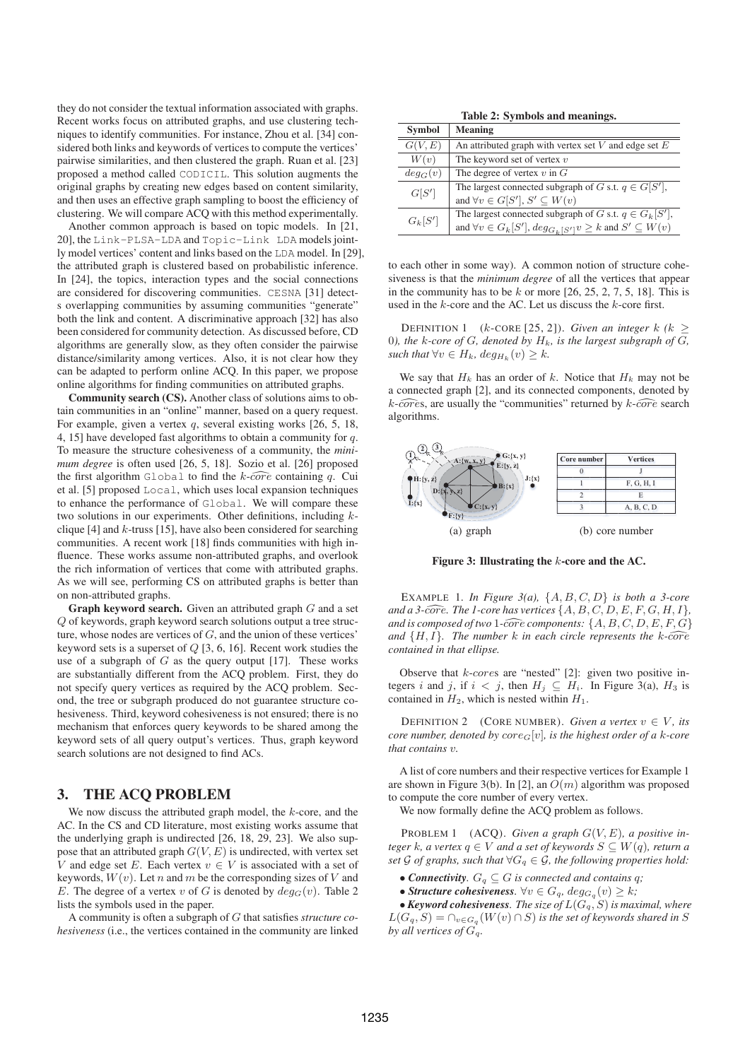they do not consider the textual information associated with graphs. Recent works focus on attributed graphs, and use clustering techniques to identify communities. For instance, Zhou et al. [34] considered both links and keywords of vertices to compute the vertices' pairwise similarities, and then clustered the graph. Ruan et al. [23] proposed a method called CODICIL. This solution augments the original graphs by creating new edges based on content similarity, and then uses an effective graph sampling to boost the efficiency of clustering. We will compare ACQ with this method experimentally.

Another common approach is based on topic models. In [21, 20], the Link-PLSA-LDA and Topic-Link LDA models jointly model vertices' content and links based on the LDA model. In [29], the attributed graph is clustered based on probabilistic inference. In [24], the topics, interaction types and the social connections are considered for discovering communities. CESNA [31] detects overlapping communities by assuming communities "generate" both the link and content. A discriminative approach [32] has also been considered for community detection. As discussed before, CD algorithms are generally slow, as they often consider the pairwise distance/similarity among vertices. Also, it is not clear how they can be adapted to perform online ACQ. In this paper, we propose online algorithms for finding communities on attributed graphs.

Community search (CS). Another class of solutions aims to obtain communities in an "online" manner, based on a query request. For example, given a vertex q, several existing works  $[26, 5, 18,$ 4, 15] have developed fast algorithms to obtain a community for q. To measure the structure cohesiveness of a community, the *minimum degree* is often used [26, 5, 18]. Sozio et al. [26] proposed the first algorithm Global to find the  $k$ -core containing q. Cui et al. [5] proposed Local, which uses local expansion techniques to enhance the performance of Global. We will compare these two solutions in our experiments. Other definitions, including kclique  $[4]$  and k-truss  $[15]$ , have also been considered for searching communities. A recent work [18] finds communities with high influence. These works assume non-attributed graphs, and overlook the rich information of vertices that come with attributed graphs. As we will see, performing CS on attributed graphs is better than on non-attributed graphs.

**Graph keyword search.** Given an attributed graph  $G$  and a set Q of keywords, graph keyword search solutions output a tree structure, whose nodes are vertices of  $G$ , and the union of these vertices' keyword sets is a superset of Q [3, 6, 16]. Recent work studies the use of a subgraph of  $G$  as the query output [17]. These works are substantially different from the ACQ problem. First, they do not specify query vertices as required by the ACQ problem. Second, the tree or subgraph produced do not guarantee structure cohesiveness. Third, keyword cohesiveness is not ensured; there is no mechanism that enforces query keywords to be shared among the keyword sets of all query output's vertices. Thus, graph keyword search solutions are not designed to find ACs.

# 3. THE ACQ PROBLEM

We now discuss the attributed graph model, the  $k$ -core, and the AC. In the CS and CD literature, most existing works assume that the underlying graph is undirected [26, 18, 29, 23]. We also suppose that an attributed graph  $G(V, E)$  is undirected, with vertex set V and edge set E. Each vertex  $v \in V$  is associated with a set of keywords,  $W(v)$ . Let n and m be the corresponding sizes of V and E. The degree of a vertex v of G is denoted by  $deg_G(v)$ . Table 2 lists the symbols used in the paper.

A community is often a subgraph of G that satisfies *structure cohesiveness* (i.e., the vertices contained in the community are linked

Table 2: Symbols and meanings.

| <b>Symbol</b> | <b>Meaning</b>                                                             |
|---------------|----------------------------------------------------------------------------|
| G(V,E)        | An attributed graph with vertex set $V$ and edge set $E$                   |
| W(v)          | The keyword set of vertex $v$                                              |
| $deg_G(v)$    | The degree of vertex $v$ in $G$                                            |
| G[S']         | The largest connected subgraph of G s.t. $q \in G[S']$ ,                   |
|               | and $\forall v \in G[S'], S' \subseteq W(v)$                               |
| $G_k[S']$     | The largest connected subgraph of G s.t. $q \in G_k[S']$ ,                 |
|               | and $\forall v \in G_k[S'], deg_{G_k[S']v} \geq k$ and $S' \subseteq W(v)$ |

to each other in some way). A common notion of structure cohesiveness is that the *minimum degree* of all the vertices that appear in the community has to be  $k$  or more [26, 25, 2, 7, 5, 18]. This is used in the k-core and the AC. Let us discuss the k-core first.

DEFINITION 1 ( $k$ -CORE [25, 2]). *Given an integer*  $k$  ( $k$ ) 0), the k-core of G, denoted by  $H_k$ , is the largest subgraph of G, *such that*  $\forall v \in H_k$ *,*  $deg_{H_k}(v) \geq k$ *.* 

We say that  $H_k$  has an order of k. Notice that  $H_k$  may not be a connected graph [2], and its connected components, denoted by  $k$ -cores, are usually the "communities" returned by  $k$ -core search algorithms.



Figure 3: Illustrating the k-core and the AC.

EXAMPLE 1. *In Figure 3(a),* {A, B, C, D} *is both a 3-core and a 3-core. The 1-core has vertices*  $\{A, B, C, D, E, F, G, H, I\}$ *and is composed of two*  $1$ -core components:  $\{A, B, C, D, E, F, G\}$ *and*  $\{H, I\}$ *. The number*  $k$  *in each circle represents the*  $k$ -core *contained in that ellipse.*

Observe that  $k$ -cores are "nested" [2]: given two positive integers i and j, if  $i < j$ , then  $H_i \subseteq H_i$ . In Figure 3(a),  $H_3$  is contained in  $H_2$ , which is nested within  $H_1$ .

**DEFINITION 2** (CORE NUMBER). *Given a vertex*  $v \in V$ *, its core number, denoted by*  $\text{core}_G[v]$ *, is the highest order of a k-core that contains* v*.*

A list of core numbers and their respective vertices for Example 1 are shown in Figure 3(b). In [2], an  $O(m)$  algorithm was proposed to compute the core number of every vertex.

We now formally define the ACQ problem as follows.

PROBLEM 1 (ACQ). *Given a graph* G(V,E)*, a positive integer k*, *a* vertex  $q ∈ V$  *and a set of keywords*  $S ⊆ W(q)$ *, return a set* G *of graphs, such that*  $\forall G_q \in \mathcal{G}$ *, the following properties hold:* 

- **Connectivity***.*  $G_q \subseteq G$  *is connected and contains q*;
- *Structure cohesiveness.*  $\forall v \in G_q$ ,  $\deg_{G_q}(v) \geq k$ ;

• **Keyword cohesiveness**. The size of  $L(G_q, S)$  is maximal, where  $L(G_q, S) = \bigcap_{v \in G_q}(W(v) \cap S)$  *is the set of keywords shared in* S *by all vertices of*  $G_q$ *.*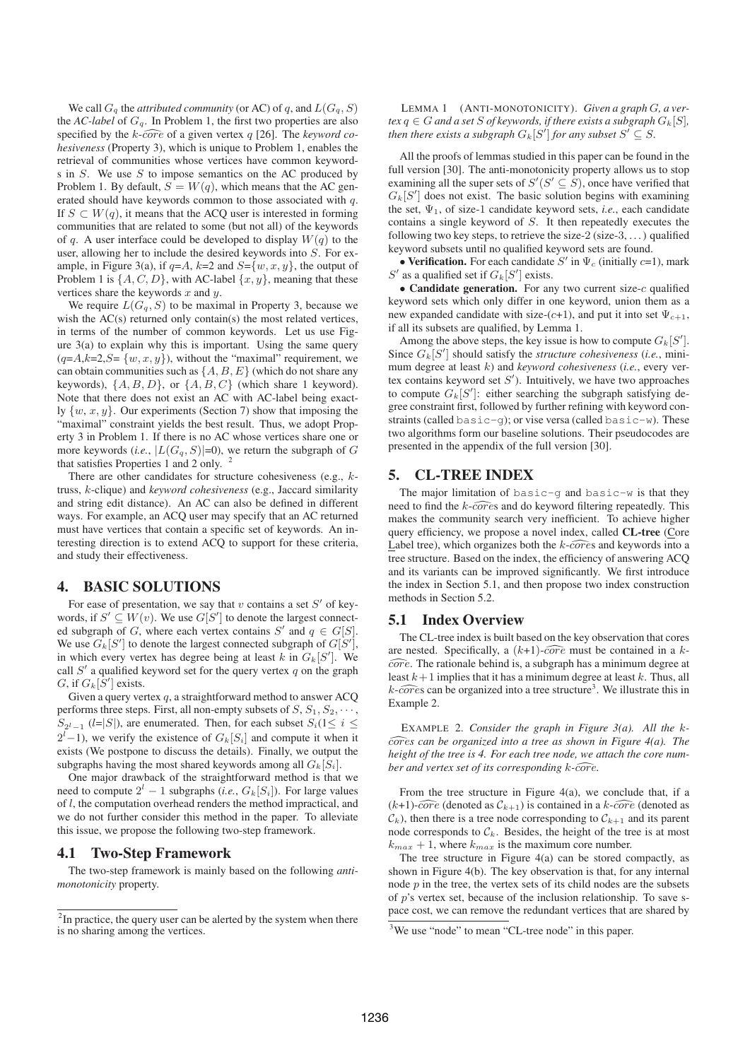We call  $G_q$  the *attributed community* (or AC) of q, and  $L(G_q, S)$ the *AC-label* of  $G_q$ . In Problem 1, the first two properties are also specified by the  $k$ -*core* of a given vertex q [26]. The *keyword cohesiveness* (Property 3), which is unique to Problem 1, enables the retrieval of communities whose vertices have common keywords in  $S$ . We use  $S$  to impose semantics on the AC produced by Problem 1. By default,  $S = W(q)$ , which means that the AC generated should have keywords common to those associated with q. If  $S \subset W(q)$ , it means that the ACQ user is interested in forming communities that are related to some (but not all) of the keywords of q. A user interface could be developed to display  $W(q)$  to the user, allowing her to include the desired keywords into S. For example, in Figure 3(a), if  $q=A$ ,  $k=2$  and  $S=\{w, x, y\}$ , the output of Problem 1 is  $\{A, C, D\}$ , with AC-label  $\{x, y\}$ , meaning that these vertices share the keywords  $x$  and  $y$ .

We require  $L(G_q, S)$  to be maximal in Property 3, because we wish the AC(s) returned only contain(s) the most related vertices, in terms of the number of common keywords. Let us use Figure  $3(a)$  to explain why this is important. Using the same query  $(q=A,k=2,S=\{w,x,y\})$ , without the "maximal" requirement, we can obtain communities such as  $\{A, B, E\}$  (which do not share any keywords),  $\{A, B, D\}$ , or  $\{A, B, C\}$  (which share 1 keyword). Note that there does not exist an AC with AC-label being exactly  $\{w, x, y\}$ . Our experiments (Section 7) show that imposing the "maximal" constraint yields the best result. Thus, we adopt Property 3 in Problem 1. If there is no AC whose vertices share one or more keywords (*i.e.*,  $|L(G_q, S)|=0$ ), we return the subgraph of G that satisfies Properties 1 and 2 only. <sup>2</sup>

There are other candidates for structure cohesiveness (e.g., ktruss, k-clique) and *keyword cohesiveness* (e.g., Jaccard similarity and string edit distance). An AC can also be defined in different ways. For example, an ACQ user may specify that an AC returned must have vertices that contain a specific set of keywords. An interesting direction is to extend ACQ to support for these criteria, and study their effectiveness.

# 4. BASIC SOLUTIONS

For ease of presentation, we say that  $v$  contains a set  $S'$  of keywords, if  $S' \subseteq W(v)$ . We use  $G[S']$  to denote the largest connected subgraph of G, where each vertex contains S' and  $q \in G[S]$ . We use  $G_k[S']$  to denote the largest connected subgraph of  $G[S']$ , in which every vertex has degree being at least k in  $G_k[S']$ . We call S' a qualified keyword set for the query vertex  $q$  on the graph G, if  $G_k[S']$  exists.

Given a query vertex  $q$ , a straightforward method to answer ACQ performs three steps. First, all non-empty subsets of  $S, S_1, S_2, \cdots$ ,  $S_{2^l-1}$  (l=|S|), are enumerated. Then, for each subset  $S_i(1 \leq i \leq j)$  $2<sup>l</sup> - 1$ ), we verify the existence of  $G_k[S_i]$  and compute it when it exists (We postpone to discuss the details). Finally, we output the subgraphs having the most shared keywords among all  $G_k[S_i]$ .

One major drawback of the straightforward method is that we need to compute  $2^l - 1$  subgraphs (*i.e.*,  $G_k[S_i]$ ). For large values of l, the computation overhead renders the method impractical, and we do not further consider this method in the paper. To alleviate this issue, we propose the following two-step framework.

## 4.1 Two-Step Framework

The two-step framework is mainly based on the following *antimonotonicity* property.

LEMMA 1 (ANTI-MONOTONICITY). *Given a graph* G*, a vertex*  $q \in G$  *and a set*  $S$  *of keywords, if there exists a subgraph*  $G_k[S]$ , *then there exists a subgraph*  $G_k[S']$  *for any subset*  $S' \subseteq S$ *.* 

All the proofs of lemmas studied in this paper can be found in the full version [30]. The anti-monotonicity property allows us to stop examining all the super sets of  $S'(S' \subseteq S)$ , once have verified that  $G_k[S']$  does not exist. The basic solution begins with examining the set,  $\Psi_1$ , of size-1 candidate keyword sets, *i.e.*, each candidate contains a single keyword of S. It then repeatedly executes the following two key steps, to retrieve the size-2 (size-3, ...) qualified keyword subsets until no qualified keyword sets are found.

• Verification. For each candidate  $S'$  in  $\Psi_c$  (initially  $c=1$ ), mark S' as a qualified set if  $G_k[S']$  exists.

• Candidate generation. For any two current size- $c$  qualified keyword sets which only differ in one keyword, union them as a new expanded candidate with size-(c+1), and put it into set  $\Psi_{c+1}$ , if all its subsets are qualified, by Lemma 1.

Among the above steps, the key issue is how to compute  $G_k[S']$ . Since  $G_k[S']$  should satisfy the *structure cohesiveness* (*i.e.*, minimum degree at least k) and *keyword cohesiveness* (*i.e.*, every vertex contains keyword set  $S'$ ). Intuitively, we have two approaches to compute  $G_k[S']$ : either searching the subgraph satisfying degree constraint first, followed by further refining with keyword constraints (called basic-q); or vise versa (called basic-w). These two algorithms form our baseline solutions. Their pseudocodes are presented in the appendix of the full version [30].

# 5. CL-TREE INDEX

The major limitation of  $\text{basic}-g$  and  $\text{basic}-w$  is that they need to find the  $k$ -cores and do keyword filtering repeatedly. This makes the community search very inefficient. To achieve higher query efficiency, we propose a novel index, called CL-tree (Core Label tree), which organizes both the  $k$ -cores and keywords into a tree structure. Based on the index, the efficiency of answering ACQ and its variants can be improved significantly. We first introduce the index in Section 5.1, and then propose two index construction methods in Section 5.2.

## 5.1 Index Overview

The CL-tree index is built based on the key observation that cores are nested. Specifically, a  $(k+1)$ -core must be contained in a k- $\widehat{core}$ . The rationale behind is, a subgraph has a minimum degree at least  $k+1$  implies that it has a minimum degree at least k. Thus, all  $k$ -cores can be organized into a tree structure<sup>3</sup>. We illustrate this in Example 2.

EXAMPLE 2. *Consider the graph in Figure 3(a). All the* k*cores can be organized into a tree as shown in Figure 4(a). The height of the tree is 4. For each tree node, we attach the core num*ber and vertex set of its corresponding  $k$ -core.

From the tree structure in Figure 4(a), we conclude that, if a  $(k+1)$ -core (denoted as  $C_{k+1}$ ) is contained in a k-core (denoted as  $\mathcal{C}_k$ ), then there is a tree node corresponding to  $\mathcal{C}_{k+1}$  and its parent node corresponds to  $\mathcal{C}_k$ . Besides, the height of the tree is at most  $k_{max} + 1$ , where  $k_{max}$  is the maximum core number.

The tree structure in Figure 4(a) can be stored compactly, as shown in Figure 4(b). The key observation is that, for any internal node  $p$  in the tree, the vertex sets of its child nodes are the subsets of p's vertex set, because of the inclusion relationship. To save space cost, we can remove the redundant vertices that are shared by

 $2$ In practice, the query user can be alerted by the system when there is no sharing among the vertices.

<sup>&</sup>lt;sup>3</sup>We use "node" to mean "CL-tree node" in this paper.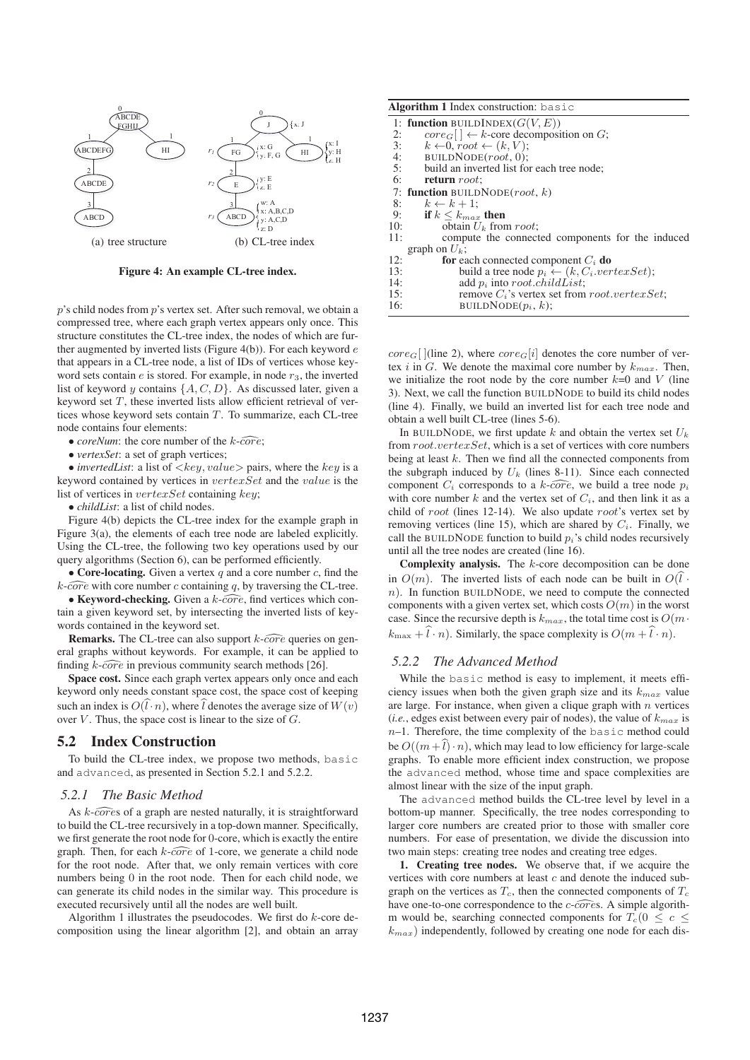

Figure 4: An example CL-tree index.

p's child nodes from p's vertex set. After such removal, we obtain a compressed tree, where each graph vertex appears only once. This structure constitutes the CL-tree index, the nodes of which are further augmented by inverted lists (Figure 4(b)). For each keyword  $e$ that appears in a CL-tree node, a list of IDs of vertices whose keyword sets contain  $e$  is stored. For example, in node  $r_3$ , the inverted list of keyword y contains  $\{A, C, D\}$ . As discussed later, given a keyword set  $T$ , these inverted lists allow efficient retrieval of vertices whose keyword sets contain T. To summarize, each CL-tree node contains four elements:

• *coreNum*: the core number of the  $k$ -*core*;

• *vertexSet*: a set of graph vertices;

• *invertedList*: a list of  $\langle key, value \rangle$  pairs, where the *key* is a keyword contained by vertices in vertexSet and the value is the list of vertices in vertexSet containing key;

• *childList*: a list of child nodes.

Figure 4(b) depicts the CL-tree index for the example graph in Figure 3(a), the elements of each tree node are labeled explicitly. Using the CL-tree, the following two key operations used by our query algorithms (Section 6), can be performed efficiently.

• Core-locating. Given a vertex q and a core number  $c$ , find the  $k$ -core with core number c containing q, by traversing the CL-tree.

• Keyword-checking. Given a  $k$ -core, find vertices which contain a given keyword set, by intersecting the inverted lists of keywords contained in the keyword set.

**Remarks.** The CL-tree can also support  $k$ -core queries on general graphs without keywords. For example, it can be applied to finding  $k$ -core in previous community search methods [26].

Space cost. Since each graph vertex appears only once and each keyword only needs constant space cost, the space cost of keeping such an index is  $O(l \cdot n)$ , where l denotes the average size of  $W(v)$ over  $V$ . Thus, the space cost is linear to the size of  $G$ .

## 5.2 Index Construction

To build the CL-tree index, we propose two methods, basic and advanced, as presented in Section 5.2.1 and 5.2.2.

#### *5.2.1 The Basic Method*

As  $k$ -cores of a graph are nested naturally, it is straightforward to build the CL-tree recursively in a top-down manner. Specifically, we first generate the root node for 0-core, which is exactly the entire graph. Then, for each  $k$ -core of 1-core, we generate a child node for the root node. After that, we only remain vertices with core numbers being 0 in the root node. Then for each child node, we can generate its child nodes in the similar way. This procedure is executed recursively until all the nodes are well built.

Algorithm 1 illustrates the pseudocodes. We first do k-core decomposition using the linear algorithm [2], and obtain an array

|  |  | Algorithm 1 Index construction: basic |  |
|--|--|---------------------------------------|--|
|--|--|---------------------------------------|--|

- 1: function BUILDINDEX( $G(V, E)$ )<br>2:  $core_G$ []  $\leftarrow k$ -core decompos:
- 2:  $core_G[] \leftarrow k\text{-core decomposition on } G;$ <br>3:  $k \leftarrow 0, root \leftarrow (k, V);$
- 3:  $k \leftarrow 0, root \leftarrow (k, V);$ <br>4: BUILDNODE(*root*, 0);
- 4: BUILDNODE(*root*, 0);<br>5: build an inverted list for
- 5: build an inverted list for each tree node;<br>6: **return**  $root$ ;
- 6: return  $root$ ;<br>7: function BUILD
- 7: **function** BUILDNODE(*root*, *k*)<br>8:  $k \leftarrow k+1$ ;
- 8:  $k \leftarrow k + 1;$ <br>9: if  $k \leq k_{max}$
- 9: **if**  $k \leq k_{max}$  **then**<br>10: **b** obtain  $U_k$  from 10: obtain  $U_k$  from *root*;<br>11: compute the connect
- compute the connected components for the induced graph on  $U_k$ ;
- 12: **for** each connected component  $C_i$  **do**<br>13: build a tree node  $p_i \leftarrow (k, C_i, ver)$
- 13: build a tree node  $p_i \leftarrow (k, C_i.vertexSet);$ <br>14: add  $p_i$  into root.childList;
- 14: add  $p_i$  into root.childList;<br>15: remove  $C_i$ 's vertex set from
- 15: remove  $C_i$ 's vertex set from  $root.vertexSet;$ <br>16: BUILDNODE $(n, k)$

 $BULDNODE(p_i, k);$ 

 $core_G$ [ ](line 2), where  $core_G[i]$  denotes the core number of vertex i in G. We denote the maximal core number by  $k_{max}$ . Then, we initialize the root node by the core number  $k=0$  and V (line 3). Next, we call the function BUILDNODE to build its child nodes (line 4). Finally, we build an inverted list for each tree node and obtain a well built CL-tree (lines 5-6).

In BUILDNODE, we first update  $k$  and obtain the vertex set  $U_k$ from  $root.vertexSet$ , which is a set of vertices with core numbers being at least  $k$ . Then we find all the connected components from the subgraph induced by  $U_k$  (lines 8-11). Since each connected component  $C_i$  corresponds to a  $k$ -core, we build a tree node  $p_i$ with core number k and the vertex set of  $C_i$ , and then link it as a child of root (lines 12-14). We also update root's vertex set by removing vertices (line 15), which are shared by  $C_i$ . Finally, we call the BUILDNODE function to build  $p_i$ 's child nodes recursively until all the tree nodes are created (line 16).

Complexity analysis. The k-core decomposition can be done in  $O(m)$ . The inverted lists of each node can be built in  $O(\tilde{l} \cdot$  $n$ ). In function BUILDNODE, we need to compute the connected components with a given vertex set, which costs  $O(m)$  in the worst case. Since the recursive depth is  $k_{max}$ , the total time cost is  $O(m \cdot$  $k_{\text{max}} + \hat{l} \cdot n$ . Similarly, the space complexity is  $O(m + \hat{l} \cdot n)$ .

# *5.2.2 The Advanced Method*

While the basic method is easy to implement, it meets efficiency issues when both the given graph size and its  $k_{max}$  value are large. For instance, when given a clique graph with  $n$  vertices (*i.e.*, edges exist between every pair of nodes), the value of  $k_{max}$  is  $n-1$ . Therefore, the time complexity of the basic method could be  $O((m+l)\cdot n)$ , which may lead to low efficiency for large-scale graphs. To enable more efficient index construction, we propose the advanced method, whose time and space complexities are almost linear with the size of the input graph.

The advanced method builds the CL-tree level by level in a bottom-up manner. Specifically, the tree nodes corresponding to larger core numbers are created prior to those with smaller core numbers. For ease of presentation, we divide the discussion into two main steps: creating tree nodes and creating tree edges.

1. Creating tree nodes. We observe that, if we acquire the vertices with core numbers at least  $c$  and denote the induced subgraph on the vertices as  $T_c$ , then the connected components of  $T_c$ have one-to-one correspondence to the  $c$ -cores. A simple algorithm would be, searching connected components for  $T_c(0 < c <$  $k_{max}$ ) independently, followed by creating one node for each dis-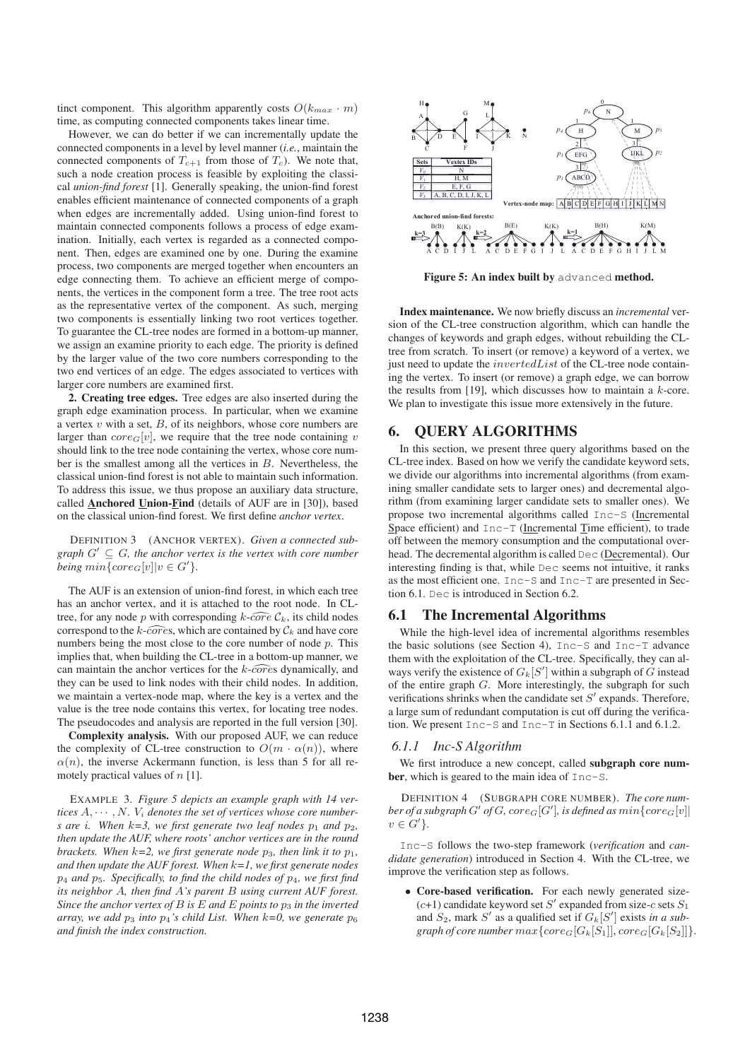tinct component. This algorithm apparently costs  $O(k_{max} \cdot m)$ time, as computing connected components takes linear time.

However, we can do better if we can incrementally update the connected components in a level by level manner (*i.e.*, maintain the connected components of  $T_{c+1}$  from those of  $T_c$ ). We note that, such a node creation process is feasible by exploiting the classical *union-find forest* [1]. Generally speaking, the union-find forest enables efficient maintenance of connected components of a graph when edges are incrementally added. Using union-find forest to maintain connected components follows a process of edge examination. Initially, each vertex is regarded as a connected component. Then, edges are examined one by one. During the examine process, two components are merged together when encounters an edge connecting them. To achieve an efficient merge of components, the vertices in the component form a tree. The tree root acts as the representative vertex of the component. As such, merging two components is essentially linking two root vertices together. To guarantee the CL-tree nodes are formed in a bottom-up manner, we assign an examine priority to each edge. The priority is defined by the larger value of the two core numbers corresponding to the two end vertices of an edge. The edges associated to vertices with larger core numbers are examined first.

2. Creating tree edges. Tree edges are also inserted during the graph edge examination process. In particular, when we examine a vertex  $v$  with a set,  $B$ , of its neighbors, whose core numbers are larger than  $core_G[v]$ , we require that the tree node containing v should link to the tree node containing the vertex, whose core number is the smallest among all the vertices in B. Nevertheless, the classical union-find forest is not able to maintain such information. To address this issue, we thus propose an auxiliary data structure, called Anchored Union-Find (details of AUF are in [30]), based on the classical union-find forest. We first define *anchor vertex*.

DEFINITION 3 (ANCHOR VERTEX). *Given a connected subgraph*  $G' \subseteq G$ *, the anchor vertex is the vertex with core number being*  $min{core_G[v]|v \in G'}$ .

The AUF is an extension of union-find forest, in which each tree has an anchor vertex, and it is attached to the root node. In CLtree, for any node p with corresponding  $k$ -core  $C_k$ , its child nodes correspond to the  $k$ -cores, which are contained by  $\mathcal{C}_k$  and have core numbers being the most close to the core number of node  $p$ . This implies that, when building the CL-tree in a bottom-up manner, we can maintain the anchor vertices for the  $k$ -cores dynamically, and they can be used to link nodes with their child nodes. In addition, we maintain a vertex-node map, where the key is a vertex and the value is the tree node contains this vertex, for locating tree nodes. The pseudocodes and analysis are reported in the full version [30].

Complexity analysis. With our proposed AUF, we can reduce the complexity of CL-tree construction to  $O(m \cdot \alpha(n))$ , where  $\alpha(n)$ , the inverse Ackermann function, is less than 5 for all remotely practical values of  $n \lfloor 1 \rfloor$ .

EXAMPLE 3. *Figure 5 depicts an example graph with 14 ver*tices  $A, \dots, N$ .  $V_i$  denotes the set of vertices whose core number*s* are *i*. When  $k=3$ , we first generate two leaf nodes  $p_1$  and  $p_2$ , *then update the AUF, where roots' anchor vertices are in the round brackets.* When  $k=2$ , we first generate node  $p_3$ , then link it to  $p_1$ , *and then update the AUF forest. When* k*=1, we first generate nodes* p<sup>4</sup> *and* p5*. Specifically, to find the child nodes of* p4*, we first find its neighbor* A*, then find* A*'s parent* B *using current AUF forest. Since the anchor vertex of*  $B$  *is*  $E$  *and*  $E$  *points to*  $p_3$  *in the inverted array, we add*  $p_3$  *into*  $p_4$ *'s child List. When*  $k=0$ *, we generate*  $p_6$ *and finish the index construction.*



Figure 5: An index built by advanced method.

Index maintenance. We now briefly discuss an *incremental* version of the CL-tree construction algorithm, which can handle the changes of keywords and graph edges, without rebuilding the CLtree from scratch. To insert (or remove) a keyword of a vertex, we just need to update the *inverted List* of the CL-tree node containing the vertex. To insert (or remove) a graph edge, we can borrow the results from  $[19]$ , which discusses how to maintain a  $k$ -core. We plan to investigate this issue more extensively in the future.

# 6. QUERY ALGORITHMS

In this section, we present three query algorithms based on the CL-tree index. Based on how we verify the candidate keyword sets, we divide our algorithms into incremental algorithms (from examining smaller candidate sets to larger ones) and decremental algorithm (from examining larger candidate sets to smaller ones). We propose two incremental algorithms called Inc-S (Incremental Space efficient) and Inc-T (Incremental Time efficient), to trade off between the memory consumption and the computational overhead. The decremental algorithm is called Dec (Decremental). Our interesting finding is that, while Dec seems not intuitive, it ranks as the most efficient one. Inc-S and Inc-T are presented in Section 6.1. Dec is introduced in Section 6.2.

#### 6.1 The Incremental Algorithms

While the high-level idea of incremental algorithms resembles the basic solutions (see Section 4), Inc-S and Inc-T advance them with the exploitation of the CL-tree. Specifically, they can always verify the existence of  $G_k[S']$  within a subgraph of G instead of the entire graph G. More interestingly, the subgraph for such verifications shrinks when the candidate set  $S'$  expands. Therefore, a large sum of redundant computation is cut off during the verification. We present Inc-S and Inc-T in Sections 6.1.1 and 6.1.2.

#### *6.1.1 Inc-S Algorithm*

We first introduce a new concept, called subgraph core number, which is geared to the main idea of Inc-S.

DEFINITION 4 (SUBGRAPH CORE NUMBER). *The core num* $b$ er of a subgraph  $G'$  of  $G$ ,  $core_G[G'],$  is defined as  $min\{core_G[v]|$  $v \in G'$ .

Inc-S follows the two-step framework (*verification* and *candidate generation*) introduced in Section 4. With the CL-tree, we improve the verification step as follows.

• Core-based verification. For each newly generated size-  $(c+1)$  candidate keyword set S' expanded from size-c sets  $S_1$ and  $S_2$ , mark S' as a qualified set if  $G_k[S']$  exists *in a subgraph of core number*  $max\{core_G[G_k[S_1]], core_G[G_k[S_2]]\}.$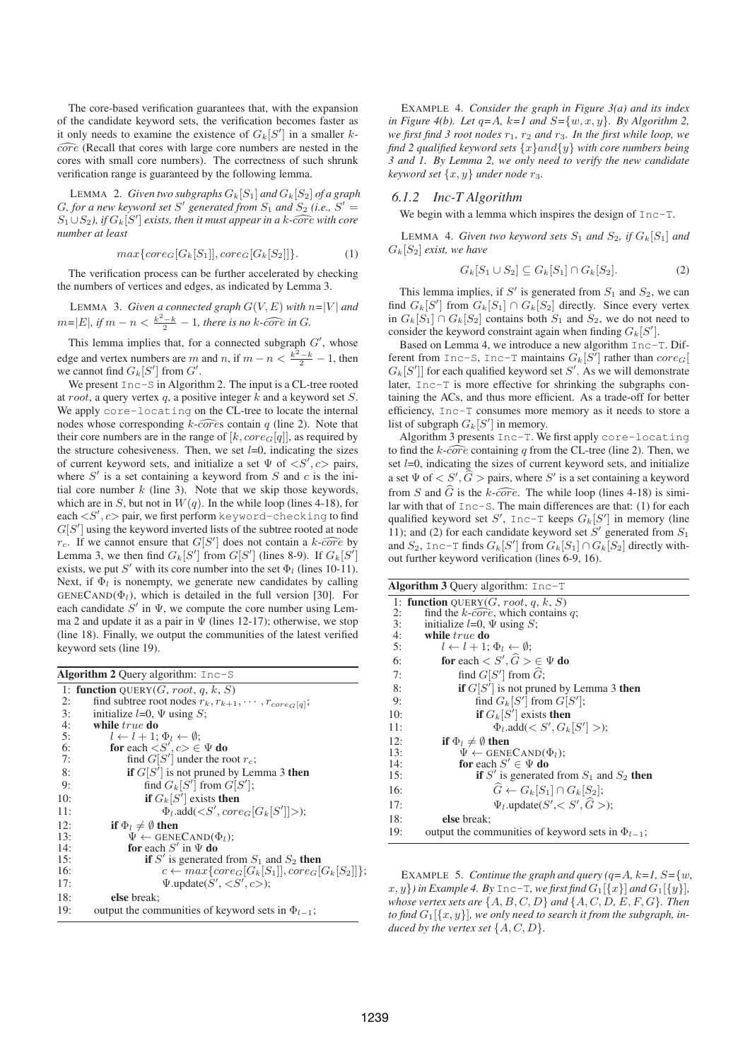The core-based verification guarantees that, with the expansion of the candidate keyword sets, the verification becomes faster as it only needs to examine the existence of  $G_k[S']$  in a smaller k- $\widehat{core}$  (Recall that cores with large core numbers are nested in the cores with small core numbers). The correctness of such shrunk verification range is guaranteed by the following lemma.

LEMMA 2. *Given two subgraphs*  $G_k[S_1]$  *and*  $G_k[S_2]$  *of a graph*  $G$ , for a new keyword set  $S'$  generated from  $S_1$  and  $S_2$  (i.e.,  $S' =$  $S_1 \cup S_2$ ), if  $G_k[S']$  exists, then it must appear in a k-core with core *number at least*

$$
max{core_G[G_k[S_1]], core_G[G_k[S_2]]}.
$$
 (1)

The verification process can be further accelerated by checking the numbers of vertices and edges, as indicated by Lemma 3.

LEMMA 3. *Given a connected graph*  $G(V, E)$  *with*  $n=|V|$  *and*  $m=|E|$ , if  $m-n<\frac{k^2-k}{2}-1$ , there is no k-core in G.

This lemma implies that, for a connected subgraph  $G'$ , whose edge and vertex numbers are m and n, if  $m - n < \frac{k^2 - k}{2} - 1$ , then we cannot find  $G_k[S']$  from  $G'$ .

We present  $Inc-S$  in Algorithm 2. The input is a CL-tree rooted at root, a query vertex q, a positive integer  $k$  and a keyword set  $S$ . We apply core-locating on the CL-tree to locate the internal nodes whose corresponding  $k$ -cores contain q (line 2). Note that their core numbers are in the range of  $[k, core_G[q]]$ , as required by the structure cohesiveness. Then, we set  $l=0$ , indicating the sizes of current keyword sets, and initialize a set  $\Psi$  of  $\langle S', c \rangle$  pairs, where  $S'$  is a set containing a keyword from  $S$  and  $c$  is the initial core number  $k$  (line 3). Note that we skip those keywords, which are in  $S$ , but not in  $W(q)$ . In the while loop (lines 4-18), for each  $\langle S', c \rangle$  pair, we first perform keyword-checking to find  $G[S']$  using the keyword inverted lists of the subtree rooted at node  $r_c$ . If we cannot ensure that  $G[S']$  does not contain a  $k$ -core by Lemma 3, we then find  $G_k[S']$  from  $G[S']$  (lines 8-9). If  $G_k[S']$ exists, we put S' with its core number into the set  $\Phi_l$  (lines 10-11). Next, if  $\Phi_l$  is nonempty, we generate new candidates by calling GENECAND( $\Phi_l$ ), which is detailed in the full version [30]. For each candidate  $S'$  in  $\Psi$ , we compute the core number using Lemma 2 and update it as a pair in  $\Psi$  (lines 12-17); otherwise, we stop (line 18). Finally, we output the communities of the latest verified keyword sets (line 19).

| <b>Algorithm 2 Query algorithm:</b> $Inc-S$ |                                                                |  |
|---------------------------------------------|----------------------------------------------------------------|--|
|                                             | 1: function QUERY(G, root, q, k, S)                            |  |
| 2:                                          | find subtree root nodes $r_k, r_{k+1}, \cdots, r_{core_G[q]};$ |  |
| 3:                                          | initialize $l=0$ , $\Psi$ using S;                             |  |
| 4:                                          | while <i>true</i> do                                           |  |
| 5:                                          | $l \leftarrow l + 1: \Phi_l \leftarrow \emptyset$              |  |
| 6:                                          | for each $\langle S', c \rangle \in \Psi$ do                   |  |
| 7:                                          | find $G[S']$ under the root $r_c$ ;                            |  |
| 8:                                          | if $G[S']$ is not pruned by Lemma 3 then                       |  |
| 9:                                          | find $G_k[S']$ from $G[S']$ ;                                  |  |
| 10:                                         | if $G_k[S']$ exists then                                       |  |
| 11:                                         | $\Phi_l$ .add( $\langle S',core_G[G_k[S']\rangle$ );           |  |
| 12:                                         | if $\Phi_l \neq \emptyset$ then                                |  |
| 13:                                         | $\Psi \leftarrow$ GENECAND $(\Phi_l)$ ;                        |  |
| 14:                                         | for each S' in $\Psi$ do                                       |  |
| 15:                                         | if S' is generated from $S_1$ and $S_2$ then                   |  |
| 16:                                         | $c \leftarrow max\{core_G[G_k[S_1]], core_G[G_k[S_2]]\};$      |  |
| 17:                                         | $\Psi$ , update $(S', );$                                      |  |
| 18:                                         | else break;                                                    |  |
| 19:                                         | output the communities of keyword sets in $\Phi_{l-1}$ ;       |  |

EXAMPLE 4. *Consider the graph in Figure 3(a) and its index in Figure 4(b). Let*  $q=A$ *,*  $k=1$  *and*  $S=\{w, x, y\}$ *. By Algorithm 2, we first find 3 root nodes* r1*,* r<sup>2</sup> *and* r3*. In the first while loop, we find 2 qualified keyword sets* {x}and{y} *with core numbers being 3 and 1. By Lemma 2, we only need to verify the new candidate keyword set*  $\{x, y\}$  *under node*  $r_3$ *.* 

#### *6.1.2 Inc-T Algorithm*

We begin with a lemma which inspires the design of  $Inc-T$ .

LEMMA 4. *Given two keyword sets*  $S_1$  *and*  $S_2$ *, if*  $G_k[S_1]$  *and*  $G_k[S_2]$  *exist, we have* 

$$
G_k[S_1 \cup S_2] \subseteq G_k[S_1] \cap G_k[S_2]. \tag{2}
$$

This lemma implies, if S' is generated from  $S_1$  and  $S_2$ , we can find  $G_k[S']$  from  $G_k[S_1] \cap G_k[S_2]$  directly. Since every vertex in  $G_k[S_1] \cap G_k[S_2]$  contains both  $S_1$  and  $S_2$ , we do not need to consider the keyword constraint again when finding  $G_k[S']$ .

Based on Lemma 4, we introduce a new algorithm Inc-T. Different from Inc-S, Inc-T maintains  $G_k[S']$  rather than  $core_G$  $G_k[S']$  for each qualified keyword set S'. As we will demonstrate later, Inc-T is more effective for shrinking the subgraphs containing the ACs, and thus more efficient. As a trade-off for better efficiency, Inc-T consumes more memory as it needs to store a list of subgraph  $G_k[S']$  in memory.

Algorithm 3 presents Inc-T. We first apply core-locating to find the  $k$ -core containing q from the CL-tree (line 2). Then, we set  $l=0$ , indicating the sizes of current keyword sets, and initialize a set  $\Psi$  of  $\langle S', \overline{G} \rangle$  pairs, where  $S'$  is a set containing a keyword from S and G is the  $k$ -core. The while loop (lines 4-18) is similar with that of Inc-S. The main differences are that: (1) for each qualified keyword set S', Inc-T keeps  $G_k[S']$  in memory (line 11); and (2) for each candidate keyword set  $S'$  generated from  $S_1$ and  $S_2$ , Inc-T finds  $G_k[S']$  from  $G_k[S_1] \cap G_k[S_2]$  directly without further keyword verification (lines 6-9, 16).

| <b>Algorithm 3 Query algorithm:</b> $Inc-T$ |                                                          |  |
|---------------------------------------------|----------------------------------------------------------|--|
|                                             | 1: function QUERY(G, root, q, k, S)                      |  |
| 2:                                          | find the $k$ -core, which contains q;                    |  |
| 3:                                          | initialize $l=0$ , $\Psi$ using S;                       |  |
| 4:                                          | while <i>true</i> do                                     |  |
| 5:                                          | $l \leftarrow l + 1: \Phi_l \leftarrow \emptyset$ :      |  |
| 6:                                          | for each $\langle S', \hat{G} \rangle \in \Psi$ do       |  |
| 7:                                          | find $G[S']$ from $\widehat{G}$ ;                        |  |
| 8:                                          | <b>if</b> $G[S']$ is not pruned by Lemma 3 <b>then</b>   |  |
| 9:                                          | find $G_k[S']$ from $G[S']$ ;                            |  |
| 10:                                         | <b>if</b> $G_k[S']$ exists then                          |  |
| 11:                                         | $\Phi_l$ .add $(< S', G_k[S']>)$ ;                       |  |
| 12:                                         | if $\Phi_l \neq \emptyset$ then                          |  |
| 13:                                         | $\Psi \leftarrow$ GENECAND $(\Phi_l)$ ;                  |  |
| 14:                                         | for each $S' \in \Psi$ do                                |  |
| 15:                                         | if S' is generated from $S_1$ and $S_2$ then             |  |
| 16:                                         | $\widehat{G} \leftarrow G_k[S_1] \cap G_k[S_2];$         |  |
| 17:                                         | $\Psi_l$ ,update $(S', < S', \widehat{G} >)$ :           |  |
| 18:                                         | else break;                                              |  |
| 19:                                         | output the communities of keyword sets in $\Phi_{l-1}$ ; |  |

EXAMPLE 5. *Continue the graph and query (q=A, k=1, S={w,*  $x, y$ }*) in Example 4. By* Inc-T*, we first find*  $G_1$ [{x}] *and*  $G_1$ [{y}]*, whose vertex sets are* {A, B, C, D} *and* {A, C, D*,* E, F, G}*. Then* to find  $G_1[\{x, y\}]$ , we only need to search it from the subgraph, in*duced by the vertex set*  $\{A, C, D\}$ *.*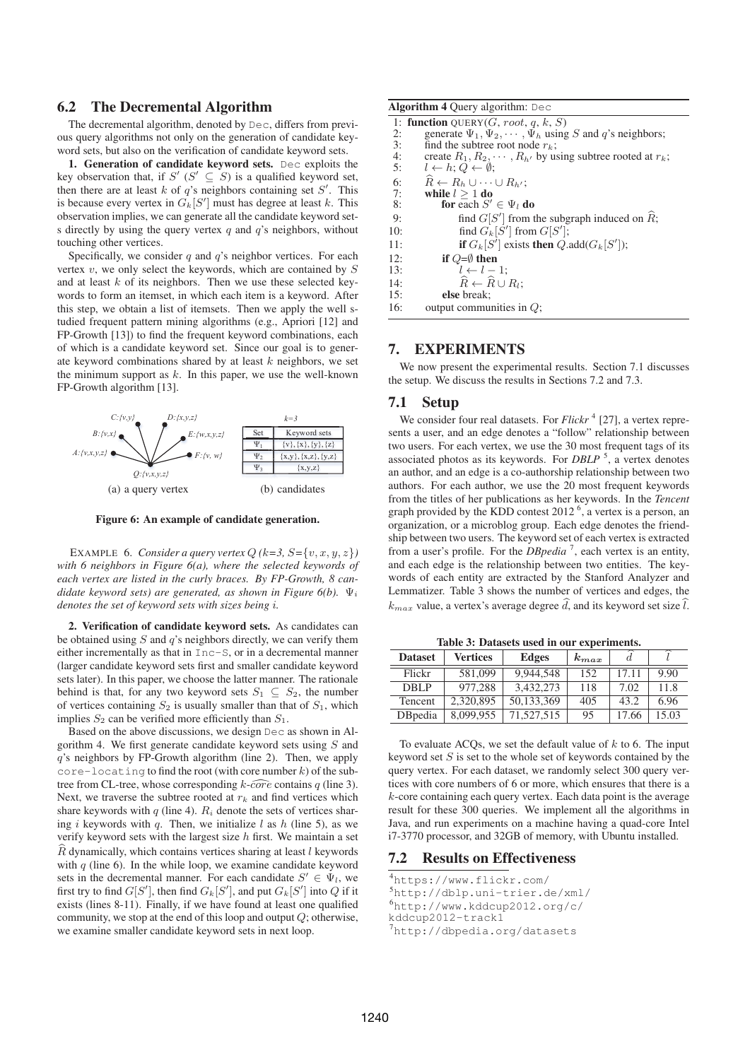# 6.2 The Decremental Algorithm

The decremental algorithm, denoted by Dec, differs from previous query algorithms not only on the generation of candidate keyword sets, but also on the verification of candidate keyword sets.

1. Generation of candidate keyword sets. Dec exploits the key observation that, if  $S'$  ( $S' \subseteq S$ ) is a qualified keyword set, then there are at least k of  $q$ 's neighbors containing set  $S'$ . This is because every vertex in  $G_k[S']$  must has degree at least k. This observation implies, we can generate all the candidate keyword sets directly by using the query vertex  $q$  and  $q$ 's neighbors, without touching other vertices.

Specifically, we consider  $q$  and  $q$ 's neighbor vertices. For each vertex  $v$ , we only select the keywords, which are contained by  $S$ and at least  $k$  of its neighbors. Then we use these selected keywords to form an itemset, in which each item is a keyword. After this step, we obtain a list of itemsets. Then we apply the well studied frequent pattern mining algorithms (e.g., Apriori [12] and FP-Growth [13]) to find the frequent keyword combinations, each of which is a candidate keyword set. Since our goal is to generate keyword combinations shared by at least  $k$  neighbors, we set the minimum support as  $k$ . In this paper, we use the well-known FP-Growth algorithm [13].



Figure 6: An example of candidate generation.

EXAMPLE 6. *Consider a query vertex*  $Q$  ( $k=3$ ,  $S=\{v, x, y, z\}$ ) *with 6 neighbors in Figure 6(a), where the selected keywords of each vertex are listed in the curly braces. By FP-Growth, 8 candidate keyword sets) are generated, as shown in Figure 6(b).*  $\Psi_i$ *denotes the set of keyword sets with sizes being* i*.*

2. Verification of candidate keyword sets. As candidates can be obtained using  $S$  and  $q$ 's neighbors directly, we can verify them either incrementally as that in Inc-S, or in a decremental manner (larger candidate keyword sets first and smaller candidate keyword sets later). In this paper, we choose the latter manner. The rationale behind is that, for any two keyword sets  $S_1 \subseteq S_2$ , the number of vertices containing  $S_2$  is usually smaller than that of  $S_1$ , which implies  $S_2$  can be verified more efficiently than  $S_1$ .

Based on the above discussions, we design Dec as shown in Algorithm 4. We first generate candidate keyword sets using  $S$  and q's neighbors by FP-Growth algorithm (line 2). Then, we apply core-locating to find the root (with core number  $k$ ) of the subtree from CL-tree, whose corresponding  $k$ -core contains q (line 3). Next, we traverse the subtree rooted at  $r_k$  and find vertices which share keywords with  $q$  (line 4).  $R_i$  denote the sets of vertices sharing i keywords with  $q$ . Then, we initialize  $l$  as  $h$  (line 5), as we verify keyword sets with the largest size  $h$  first. We maintain a set  $\widehat{R}$  dynamically, which contains vertices sharing at least l keywords with  $q$  (line 6). In the while loop, we examine candidate keyword sets in the decremental manner. For each candidate  $S' \in \Psi_l$ , we first try to find  $G[S']$ , then find  $G_k[S']$ , and put  $G_k[S']$  into  $Q$  if it exists (lines 8-11). Finally, if we have found at least one qualified community, we stop at the end of this loop and output  $Q$ ; otherwise, we examine smaller candidate keyword sets in next loop.

# Algorithm 4 Query algorithm: Dec

```
1: function QUERY(G, root, q, k, S)<br>2: generate \Psi_1, \Psi_2, \cdots, \Psi_h using
```
- 2: generate  $\Psi_1, \Psi_2, \cdots, \Psi_h$  using S and q's neighbors;<br>3: find the subtree root node  $r_k$ ;
- 3: find the subtree root node  $r_k$ ;<br>4: create  $R_1, R_2, \cdots, R_{h'}$  by us
- 4: create  $R_1, R_2, \dots, R_{h'}$  by using subtree rooted at  $r_k$ ;
- 5:  $l \leftarrow h; Q \leftarrow \emptyset;$ <br>6:  $\widehat{R} \leftarrow R_h \cup \cdots \cup$

6:  $R \leftarrow R_h \cup \cdots \cup R_{h'};$ 

- 7: while  $l \ge 1$  do 8: for each  $S'$
- 8: for each  $S' \in \Psi_l$  do 9: find  $G[S']$  from the subgraph induced on R;

```
10: find G_k[S'] from G[S'];
```
11: **if**  $G_k[S']$  exists **then**  $Q$  add( $G_k[S']$ );

12: if  $Q=\emptyset$  then<br>13:  $l \leftarrow l -$ 

13: 
$$
l \leftarrow l - 1;
$$
  
14: 
$$
\widehat{R} \leftarrow \widehat{R} \cup R
$$

14:  $R \leftarrow R \cup R_i;$ <br>15: **else** break;

```
16: output communities in Q;
```
# 7. EXPERIMENTS

We now present the experimental results. Section 7.1 discusses the setup. We discuss the results in Sections 7.2 and 7.3.

#### 7.1 Setup

We consider four real datasets. For *Flickr*<sup>4</sup> [27], a vertex represents a user, and an edge denotes a "follow" relationship between two users. For each vertex, we use the 30 most frequent tags of its associated photos as its keywords. For *DBLP* <sup>5</sup> , a vertex denotes an author, and an edge is a co-authorship relationship between two authors. For each author, we use the 20 most frequent keywords from the titles of her publications as her keywords. In the *Tencent* graph provided by the KDD contest  $2012<sup>6</sup>$ , a vertex is a person, an organization, or a microblog group. Each edge denotes the friendship between two users. The keyword set of each vertex is extracted from a user's profile. For the *DBpedia*<sup>7</sup>, each vertex is an entity, and each edge is the relationship between two entities. The keywords of each entity are extracted by the Stanford Analyzer and Lemmatizer. Table 3 shows the number of vertices and edges, the  $k_{max}$  value, a vertex's average degree d, and its keyword set size l.

Table 3: Datasets used in our experiments.

| <b>Dataset</b> | <b>Vertices</b> | <b>Edges</b> | $k_{max}$ | d.    |       |
|----------------|-----------------|--------------|-----------|-------|-------|
| Flickr         | 581,099         | 9.944.548    | 152       | 17.11 | 9.90  |
| DBLP           | 977.288         | 3.432.273    | 118       | 7.02  | 11.8  |
| Tencent        | 2,320,895       | 50,133,369   | 405       | 43.2  | 6.96  |
| DBpedia        | 8,099,955       | 71,527,515   | 95        | 17.66 | 15.03 |

To evaluate ACQs, we set the default value of  $k$  to 6. The input keyword set  $S$  is set to the whole set of keywords contained by the query vertex. For each dataset, we randomly select 300 query vertices with core numbers of 6 or more, which ensures that there is a k-core containing each query vertex. Each data point is the average result for these 300 queries. We implement all the algorithms in Java, and run experiments on a machine having a quad-core Intel i7-3770 processor, and 32GB of memory, with Ubuntu installed.

#### 7.2 Results on Effectiveness

4 https://www.flickr.com/

5 http://dblp.uni-trier.de/xml/

6 http://www.kddcup2012.org/c/

kddcup2012-track1

7 http://dbpedia.org/datasets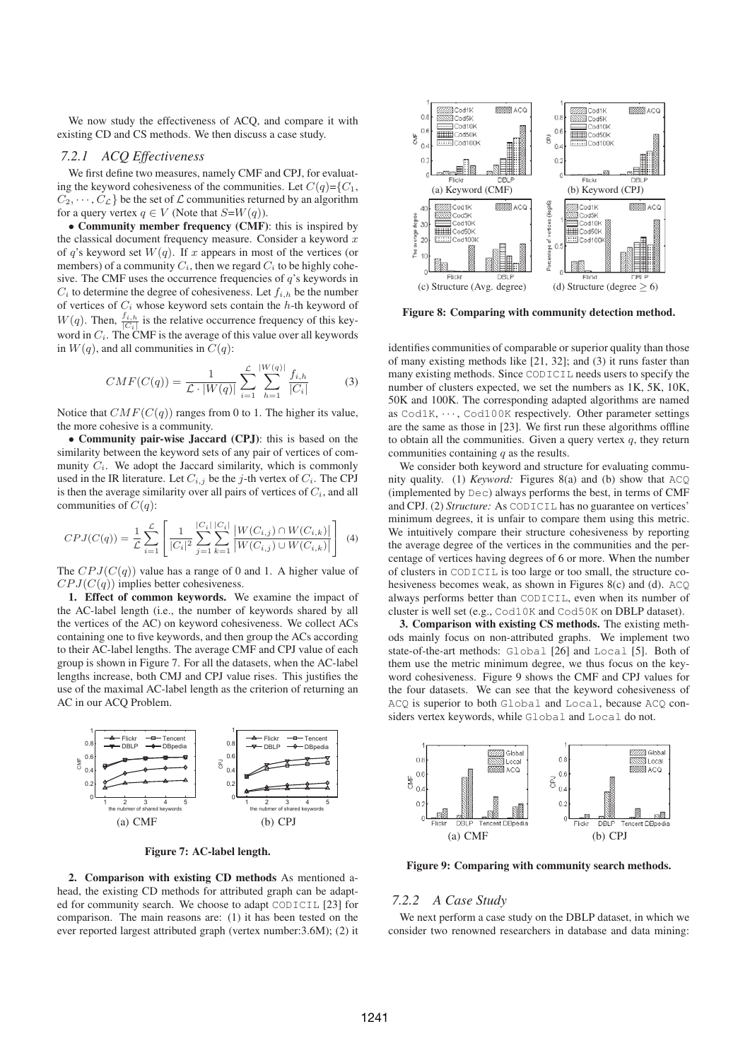We now study the effectiveness of ACQ, and compare it with existing CD and CS methods. We then discuss a case study.

## *7.2.1 ACQ Effectiveness*

We first define two measures, namely CMF and CPJ, for evaluating the keyword cohesiveness of the communities. Let  $C(q)=\{C_1,$  $C_2, \dots, C_{\mathcal{L}}$  be the set of  $\mathcal L$  communities returned by an algorithm for a query vertex  $q \in V$  (Note that  $S=W(q)$ ).

• Community member frequency (CMF): this is inspired by the classical document frequency measure. Consider a keyword  $x$ of q's keyword set  $W(q)$ . If x appears in most of the vertices (or members) of a community  $C_i$ , then we regard  $C_i$  to be highly cohesive. The CMF uses the occurrence frequencies of  $q$ 's keywords in  $C_i$  to determine the degree of cohesiveness. Let  $f_{i,h}$  be the number of vertices of  $C_i$  whose keyword sets contain the  $h$ -th keyword of  $W(q)$ . Then,  $\frac{f_{i,h}}{|C_i|}$  is the relative occurrence frequency of this keyword in  $C_i$ . The CMF is the average of this value over all keywords in  $W(q)$ , and all communities in  $C(q)$ :

$$
CMF(C(q)) = \frac{1}{\mathcal{L} \cdot |W(q)|} \sum_{i=1}^{\mathcal{L}} \sum_{h=1}^{|W(q)|} \frac{f_{i,h}}{|C_i|}
$$
(3)

Notice that  $CMF(C(q))$  ranges from 0 to 1. The higher its value, the more cohesive is a community.

• Community pair-wise Jaccard (CPJ): this is based on the similarity between the keyword sets of any pair of vertices of community  $C_i$ . We adopt the Jaccard similarity, which is commonly used in the IR literature. Let  $C_{i,j}$  be the j-th vertex of  $C_i$ . The CPJ is then the average similarity over all pairs of vertices of  $C_i$ , and all communities of  $C(q)$ :

$$
CPJ(C(q)) = \frac{1}{\mathcal{L}} \sum_{i=1}^{\mathcal{L}} \left[ \frac{1}{|C_i|^2} \sum_{j=1}^{|C_i|} \sum_{k=1}^{|C_i|} \frac{|W(C_{i,j}) \cap W(C_{i,k})|}{|W(C_{i,j}) \cup W(C_{i,k})|} \right] \tag{4}
$$

The  $CPJ(C(q))$  value has a range of 0 and 1. A higher value of  $CPJ(C(q))$  implies better cohesiveness.

1. Effect of common keywords. We examine the impact of the AC-label length (i.e., the number of keywords shared by all the vertices of the AC) on keyword cohesiveness. We collect ACs containing one to five keywords, and then group the ACs according to their AC-label lengths. The average CMF and CPJ value of each group is shown in Figure 7. For all the datasets, when the AC-label lengths increase, both CMJ and CPJ value rises. This justifies the use of the maximal AC-label length as the criterion of returning an AC in our ACQ Problem.



Figure 7: AC-label length.

2. Comparison with existing CD methods As mentioned ahead, the existing CD methods for attributed graph can be adapted for community search. We choose to adapt CODICIL [23] for comparison. The main reasons are: (1) it has been tested on the ever reported largest attributed graph (vertex number:3.6M); (2) it



Figure 8: Comparing with community detection method.

identifies communities of comparable or superior quality than those of many existing methods like [21, 32]; and (3) it runs faster than many existing methods. Since CODICIL needs users to specify the number of clusters expected, we set the numbers as 1K, 5K, 10K, 50K and 100K. The corresponding adapted algorithms are named as  $\text{Cod1K}, \cdots, \text{Cod100K}$  respectively. Other parameter settings are the same as those in [23]. We first run these algorithms offline to obtain all the communities. Given a query vertex  $q$ , they return communities containing  $q$  as the results.

We consider both keyword and structure for evaluating community quality. (1) *Keyword:* Figures 8(a) and (b) show that ACQ (implemented by Dec) always performs the best, in terms of CMF and CPJ. (2) *Structure:* As CODICIL has no guarantee on vertices' minimum degrees, it is unfair to compare them using this metric. We intuitively compare their structure cohesiveness by reporting the average degree of the vertices in the communities and the percentage of vertices having degrees of 6 or more. When the number of clusters in CODICIL is too large or too small, the structure cohesiveness becomes weak, as shown in Figures 8(c) and (d). ACQ always performs better than CODICIL, even when its number of cluster is well set (e.g., Cod10K and Cod50K on DBLP dataset).

3. Comparison with existing CS methods. The existing methods mainly focus on non-attributed graphs. We implement two state-of-the-art methods: Global [26] and Local [5]. Both of them use the metric minimum degree, we thus focus on the keyword cohesiveness. Figure 9 shows the CMF and CPJ values for the four datasets. We can see that the keyword cohesiveness of ACQ is superior to both Global and Local, because ACQ considers vertex keywords, while Global and Local do not.



Figure 9: Comparing with community search methods.

#### *7.2.2 A Case Study*

We next perform a case study on the DBLP dataset, in which we consider two renowned researchers in database and data mining: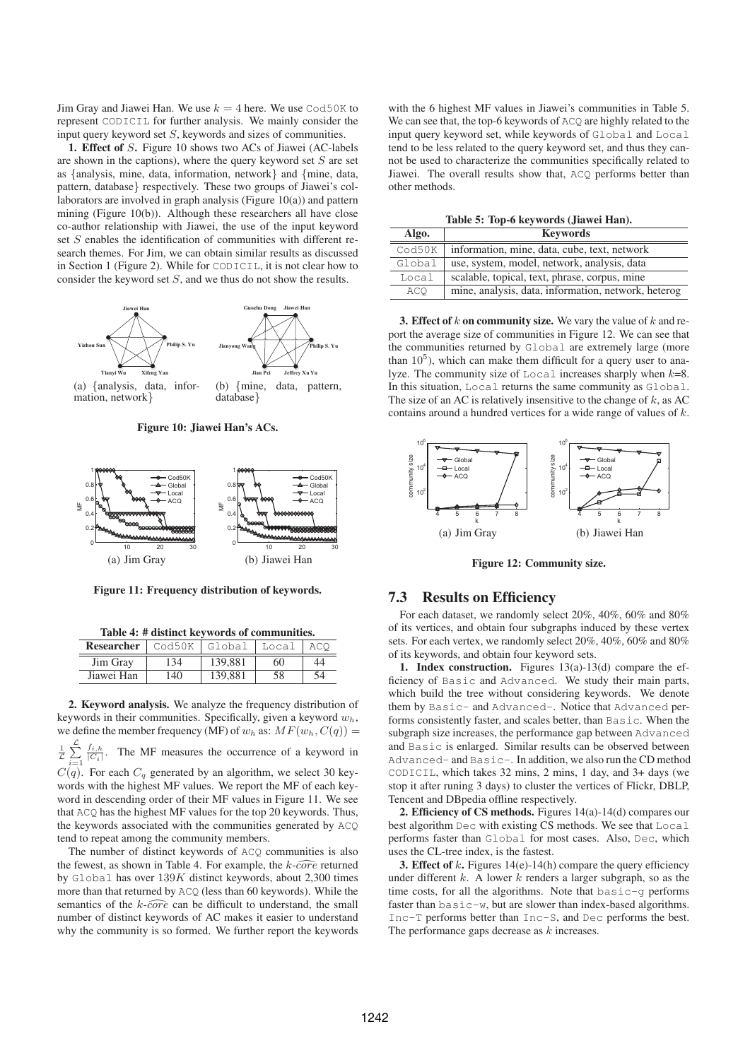Jim Gray and Jiawei Han. We use  $k = 4$  here. We use Cod50K to represent CODICIL for further analysis. We mainly consider the input query keyword set  $S$ , keywords and sizes of communities.

1. Effect of S. Figure 10 shows two ACs of Jiawei (AC-labels are shown in the captions), where the query keyword set  $S$  are set as {analysis, mine, data, information, network} and {mine, data, pattern, database} respectively. These two groups of Jiawei's collaborators are involved in graph analysis (Figure 10(a)) and pattern mining (Figure 10(b)). Although these researchers all have close co-author relationship with Jiawei, the use of the input keyword set S enables the identification of communities with different research themes. For Jim, we can obtain similar results as discussed in Section 1 (Figure 2). While for CODICIL, it is not clear how to consider the keyword set S, and we thus do not show the results.



Figure 10: Jiawei Han's ACs.



Figure 11: Frequency distribution of keywords.

Table 4: # distinct keywords of communities.

| <b>Researcher</b> | Cod50K | Global  | Local |    |
|-------------------|--------|---------|-------|----|
| Jim Gray          | 34     | 139.881 | 60    | 44 |
| Jiawei Han        | 140    | 139.881 | 58    | 54 |

2. Keyword analysis. We analyze the frequency distribution of keywords in their communities. Specifically, given a keyword  $w_h$ , we define the member frequency (MF) of  $w_h$  as:  $MF(w_h, C(q)) =$ 

1  $rac{1}{\mathcal{L}}\sum_{i=1}^{\mathcal{L}}$  $i=1$  $\frac{f_{i,h}}{|C_i|}$ . The MF measures the occurrence of a keyword in

 $C(q)$ . For each  $C_q$  generated by an algorithm, we select 30 keywords with the highest MF values. We report the MF of each keyword in descending order of their MF values in Figure 11. We see that ACQ has the highest MF values for the top 20 keywords. Thus, the keywords associated with the communities generated by ACQ tend to repeat among the community members.

The number of distinct keywords of ACO communities is also the fewest, as shown in Table 4. For example, the  $k$ - $\widehat{core}$  returned by  $G$ lobal has over  $139K$  distinct keywords, about 2,300 times more than that returned by ACQ (less than 60 keywords). While the semantics of the  $k$ -core can be difficult to understand, the small number of distinct keywords of AC makes it easier to understand why the community is so formed. We further report the keywords with the 6 highest MF values in Jiawei's communities in Table 5. We can see that, the top-6 keywords of ACQ are highly related to the input query keyword set, while keywords of Global and Local tend to be less related to the query keyword set, and thus they cannot be used to characterize the communities specifically related to Jiawei. The overall results show that, ACQ performs better than other methods.

| Table 5: Top-6 keywords (Jiawei Han). |                                                     |  |
|---------------------------------------|-----------------------------------------------------|--|
| Algo.                                 | <b>Keywords</b>                                     |  |
| Cod50K                                | information, mine, data, cube, text, network        |  |
| Global                                | use, system, model, network, analysis, data         |  |
| Local                                 | scalable, topical, text, phrase, corpus, mine       |  |
| <b>ACO</b>                            | mine, analysis, data, information, network, heterog |  |

3. Effect of  $k$  on community size. We vary the value of  $k$  and report the average size of communities in Figure 12. We can see that the communities returned by Global are extremely large (more than  $10<sup>5</sup>$ ), which can make them difficult for a query user to analyze. The community size of  $Local$  increases sharply when  $k=8$ . In this situation, Local returns the same community as Global. The size of an AC is relatively insensitive to the change of  $k$ , as AC contains around a hundred vertices for a wide range of values of k.



Figure 12: Community size.

## 7.3 Results on Efficiency

For each dataset, we randomly select 20%, 40%, 60% and 80% of its vertices, and obtain four subgraphs induced by these vertex sets. For each vertex, we randomly select 20%, 40%, 60% and 80% of its keywords, and obtain four keyword sets.

1. Index construction. Figures 13(a)-13(d) compare the efficiency of Basic and Advanced. We study their main parts, which build the tree without considering keywords. We denote them by Basic- and Advanced-. Notice that Advanced performs consistently faster, and scales better, than Basic. When the subgraph size increases, the performance gap between Advanced and Basic is enlarged. Similar results can be observed between Advanced- and Basic-. In addition, we also run the CD method CODICIL, which takes 32 mins, 2 mins, 1 day, and 3+ days (we stop it after runing 3 days) to cluster the vertices of Flickr, DBLP, Tencent and DBpedia offline respectively.

2. Efficiency of CS methods. Figures 14(a)-14(d) compares our best algorithm Dec with existing CS methods. We see that Local performs faster than Global for most cases. Also, Dec, which uses the CL-tree index, is the fastest.

**3. Effect of k.** Figures  $14(e) - 14(h)$  compare the query efficiency under different  $k$ . A lower  $k$  renders a larger subgraph, so as the time costs, for all the algorithms. Note that basic-g performs faster than basic-w, but are slower than index-based algorithms. Inc-T performs better than Inc-S, and Dec performs the best. The performance gaps decrease as  $k$  increases.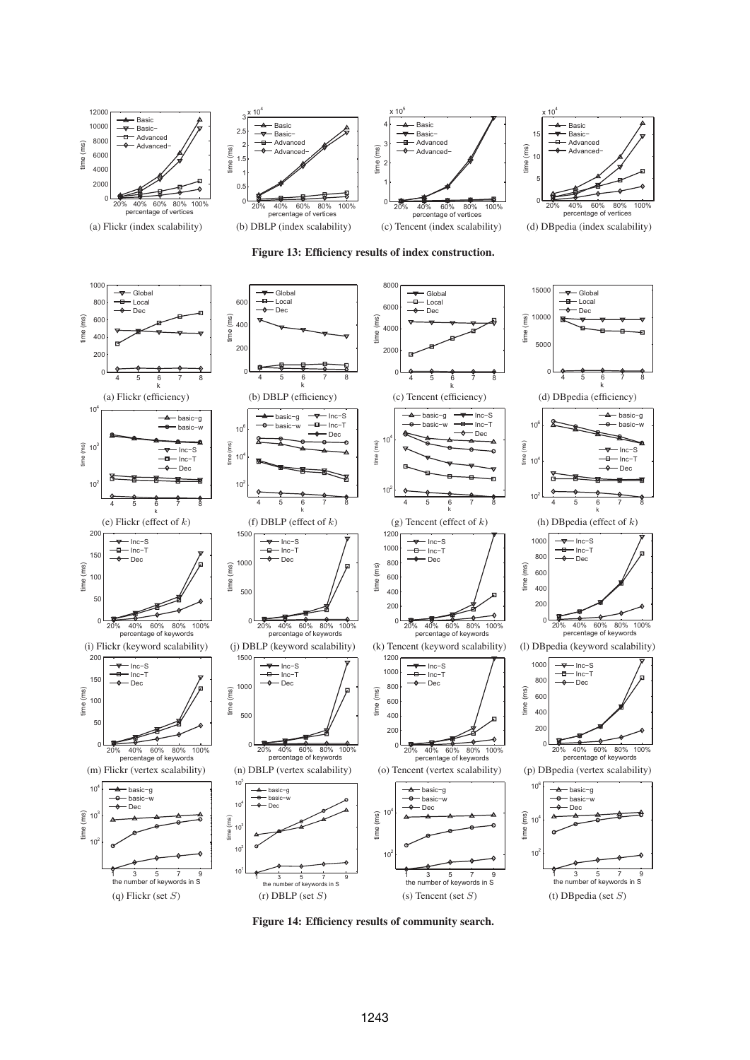

Figure 13: Efficiency results of index construction.



Figure 14: Efficiency results of community search.